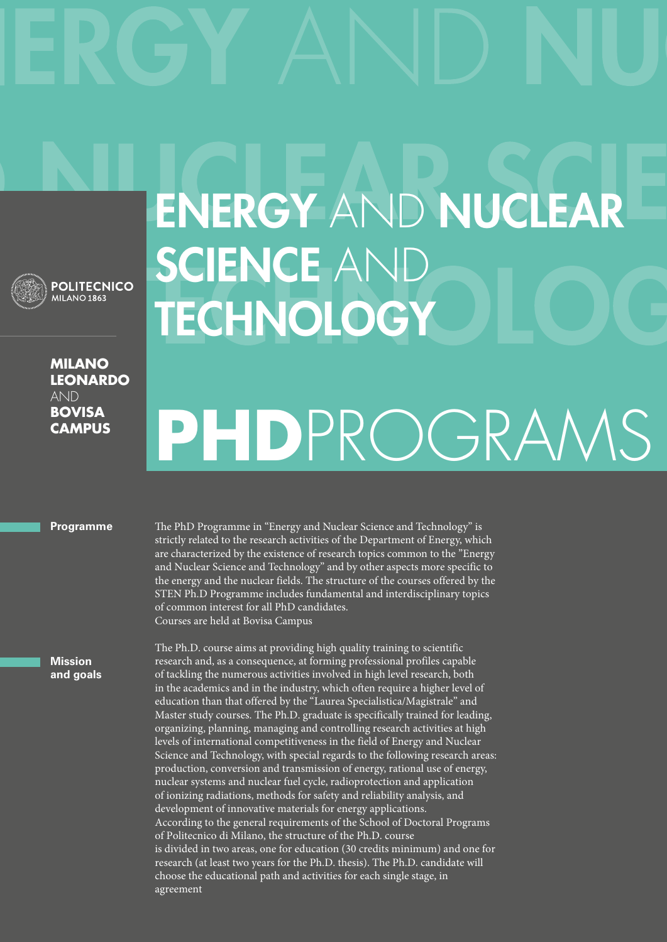

**Milano leonardo**  AND **bovisa campus**

## **ENERGY AND NUCLEAR** SCIENCE AND **TECHNOLOGY**

## **PhD**ProgramS

**Programme**

The PhD Programme in "Energy and Nuclear Science and Technology" is strictly related to the research activities of the Department of Energy, which are characterized by the existence of research topics common to the "Energy and Nuclear Science and Technology" and by other aspects more specific to the energy and the nuclear fields. The structure of the courses offered by the STEN Ph.D Programme includes fundamental and interdisciplinary topics of common interest for all PhD candidates. Courses are held at Bovisa Campus

The Ph.D. course aims at providing high quality training to scientific research and, as a consequence, at forming professional profiles capable of tackling the numerous activities involved in high level research, both in the academics and in the industry, which often require a higher level of education than that offered by the "Laurea Specialistica/Magistrale" and Master study courses. The Ph.D. graduate is specifically trained for leading, organizing, planning, managing and controlling research activities at high levels of international competitiveness in the field of Energy and Nuclear Science and Technology, with special regards to the following research areas: production, conversion and transmission of energy, rational use of energy, nuclear systems and nuclear fuel cycle, radioprotection and application of ionizing radiations, methods for safety and reliability analysis, and development of innovative materials for energy applications. According to the general requirements of the School of Doctoral Programs of Politecnico di Milano, the structure of the Ph.D. course is divided in two areas, one for education (30 credits minimum) and one for research (at least two years for the Ph.D. thesis). The Ph.D. candidate will choose the educational path and activities for each single stage, in agreement

**Mission and goals**